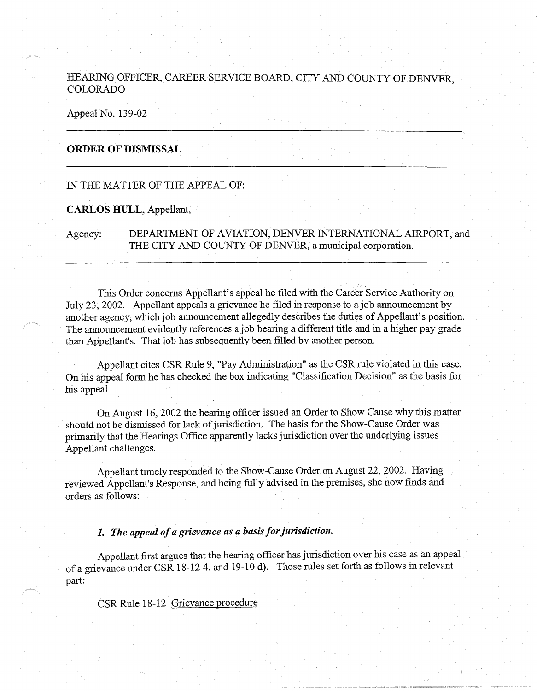# HEARING OFFICER, CAREER SERVICE BOARD, CITY AND COUNTY OF DENVER **COLORADO**

Appeal No. 139-02

### **ORDER OF DISMISSAL** ·

# IN THE MATTER OF THE APPEAL OF:

## **CARLOS HULL,** Appellant,

Agency: DEPARTMENT OF AVIATION, DENVER INTERNATIONAL AIRPORT, and THE CITY AND COUNTY OF DENVER, a municipal corporation.

This Order concerns Appellant's appeal he filed with the Career Service Authority on July 23, 2002. Appellant appeals a grievance he filed in response to a job announcement by another agency, which job announcement allegedly describes the duties of Appellant's position. The announcement evidently references a job bearing a different title and in a higher pay grade than Appellant's. That job has subsequently been filled by another person.

Appellant cites CSR Rule 9, "Pay Administration" as the CSR rule violated in this case. On his appeal form he has checked the box indicating "Classification Decision" as the basis for his appeal.

On August 16, 2002 the hearing officer issued an Order to Show Cause why this matter should not be dismissed for lack of jurisdiction. The basis for the Show-Cause Order was primarily that the Hearings Office apparently lacks jurisdiction over the underlying issues Appellant challenges.

Appellant timely responded to the Show-Cause Order on August 22, 2002. Having reviewed Appellant's Response, and being fully advised in the premises, she now finds and orders as follows:

# *1. The appeal of a grievance as a basis for jurisdiction.*

Appellant first argues that the hearing officer has jurisdiction over his case as an appeal of a grievance under CSR 18-12 4. and 19-10 d). Those rules set forth as follows in relevant part:

CSR Rule 18-12 Grievance procedure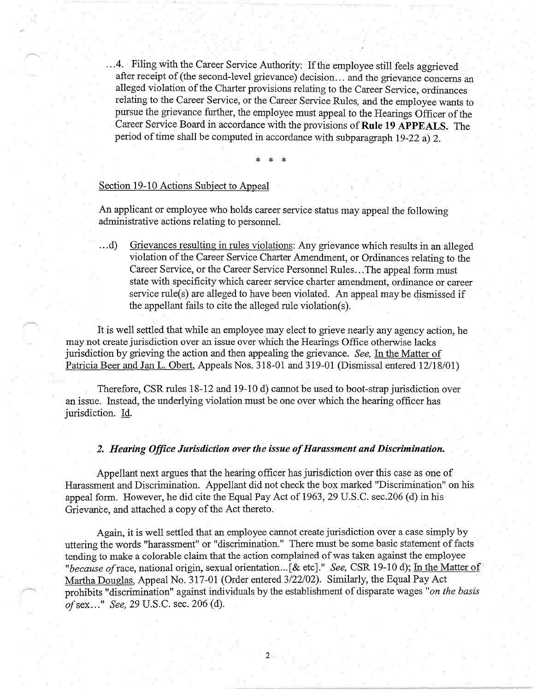.. .4. Filing with the Career Service Authority: If the employee still feels aggrieved after receipt of (the second-level grievance) decision ... and the grievance concerns an alleged violation of the Charter provisions relating to the Career Service, ordinances relating to the Career Service, or the Career Service Rules, and the employee wants to pursue the grievance further, the employee must appeal to the Hearings Officer of the Career Service Board in accordance with the provisions of **Rule 19 APPEALS.** The period of time shall be computed in accordance with subparagraph 19-22 a) 2.

\* \* \*

## Section 19-10 Actions Subject to Appeal

An applicant or employee who holds career service status may appeal the following administrative actions relating to personnel.

... d) Grievances resulting in rules violations: Any grievance which results in an alleged violation of the Career Service Charter Amendment, or Ordinances relating to the Career Service, or the Career Service Personnel Rules ... The appeal form must state with specificity which career service charter amendment, ordinance or career service rule(s) are alleged to have been violated. An appeal may be dismissed if the appellant fails to cite the alleged rule violation(s).

It is well settled that while an employee may elect to grieve nearly any agency action, he may not create jurisdiction over an issue over which the Hearings Office otherwise lacks jurisdiction by grieving the action and then appealing the grievance. *See,* In the Matter of Patricia Beer and Jan L. Obert, Appeals Nos. 318-01 and 319-01 (Dismissal entered 12/18/01)

Therefore, CSR rules 18-12 and 19-10 d) cannot be used to boot-strap jurisdiction over an issue. Instead, the underlying violation must be one over which the hearing officer has jurisdiction. Id.

#### *2. Hearing Office Jurisdiction over the issue of Harassment and Discrimination.*

Appellant next argues that the hearing officer has jurisdiction over this case as one of Harassment and Discrimination. Appellant did not check the box marked "Discrimination" on his appeal form. However, he did cite the Equal Pay Act of 1963, 29 U.S.C. sec.206 (d) in his Grievance, and attached a copy of the Act thereto.

Again, it is well settled that an employee cannot create jurisdiction over a case simply by uttering the words "harassment" or "discrimination." There must be some basic statement of facts tending to make a colorable claim that the action complained of was taken against the employee *"because of* race, national origin, sexual orientation ... [ & etc]." *See,* CSR 19-10 d); In the Matter of Martha Douglas, Appeal No. 317-01 (Order entered 3/22/02). Similarly, the Equal Pay Act prohibits "discrimination" against individuals by the establishment of disparate wages *"on the basis of* sex ... " *See,* 29 U.S.C. sec. 206(d).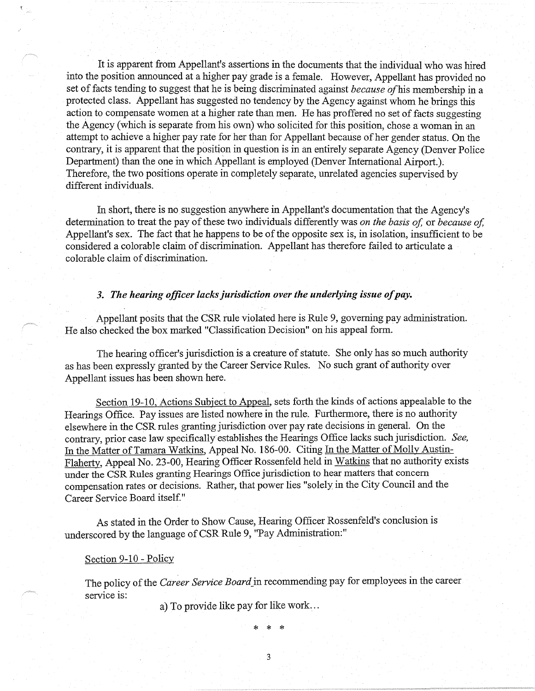It is apparent from Appellant's assertions in the documents that the individual who was hired into the position announced at a higher pay grade is a female. However, Appellant has provided no set of facts tending to suggest that he is being discriminated against *because* ofhis membership in a protected class. Appellant has suggested no tendency by the Agency against whom he brings this action to compensate women at a higher rate than men. He has proffered no set of facts suggesting the Agency (which is separate from his own) who solicited for this position, chose a woman in an attempt to achieve a higher pay rate for her than for Appellant because of her gender status. On the contrary, it is apparent that the position in question is in an entirely separate Agency (Denver Police Department) than the one in which Appellant is employed (Denver International Airport.). Therefore, the two positions operate in completely separate, unrelated agencies supervised by different individuals.

In short, there is no suggestion anywhere in Appellant's documentation that the Agency's determination to treat the pay of these two individuals differently was *on the basis of,* or *because of,*  Appellant's sex. The fact that he happens to be of the opposite sex is, in isolation, insufficient to be considered a colorable claim of discrimination. Appellant has therefore failed to articulate a colorable claim of discrimination.

## *3. The hearing officer lacks jurisdiction over the underlying issue of pay.*

Appellant posits that the CSR rule violated here is Rule 9, governing pay administration. He also checked the box marked "Classification Decision" on his appeal form.

The hearing officer's jurisdiction is a creature of statute. She only has so much authority as has been expressly granted by the Career Service Rules. No such grant of authority over Appellant issues has been shown here.

Section 19-10, Actions Subject to Appeal, sets forth the kinds of actions appealable to the Hearings Office. Pay issues are listed nowhere **in** the rule. Furthermore, there is no authority elsewhere in the CSR rules granting jurisdiction over pay rate decisions in general. On the contrary, prior case law specifically establishes the Hearings Office lacks such jurisdiction. *See,*  In the Matter of Tamara Watkins, Appeal No. 186-00. Citing In the Matter of Molly Austin-Flaherty, Appeal No. 23-00, Hearing Officer Rossenfeld held in Watkins that no authority exists under the CSR Rules granting Hearings Office jurisdiction to hear matters that concern compensation rates or decisions. Rather, that power lies "solely in the City Council and the Career Service Board itself."

As stated in the Order to Show Cause, Hearing Officer Rossenfeld's conclusion is underscored by the language of CSR Rule 9, "Pay Administration:"

## Section 9-10 - Policy

The policy of the *Career Service Board\_in* recommending pay for employees in the career service is:

a) To provide like pay for like work ...

\* \* \*